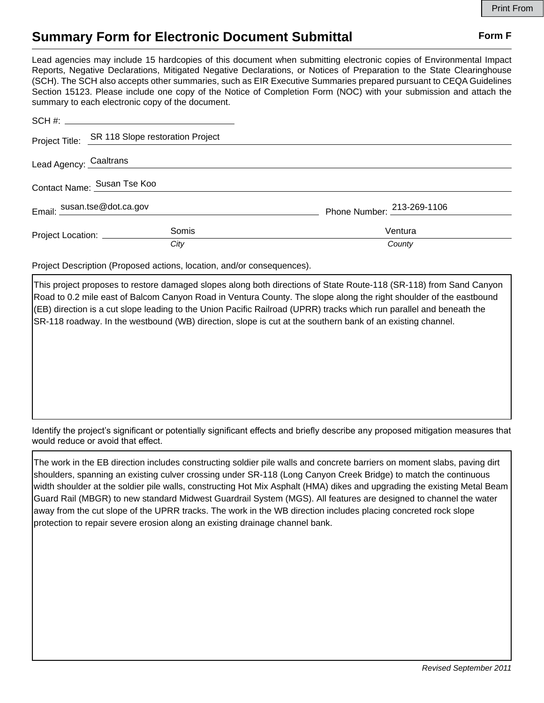## **Summary Form for Electronic Document Submittal Form F Form F**

Lead agencies may include 15 hardcopies of this document when submitting electronic copies of Environmental Impact Reports, Negative Declarations, Mitigated Negative Declarations, or Notices of Preparation to the State Clearinghouse (SCH). The SCH also accepts other summaries, such as EIR Executive Summaries prepared pursuant to CEQA Guidelines Section 15123. Please include one copy of the Notice of Completion Form (NOC) with your submission and attach the summary to each electronic copy of the document.

|                              | Project Title: SR 118 Slope restoration Project |                            |
|------------------------------|-------------------------------------------------|----------------------------|
| Lead Agency: Caaltrans       |                                                 |                            |
| Contact Name: Susan Tse Koo  |                                                 |                            |
| Email: susan.tse@dot.ca.gov  |                                                 | Phone Number: 213-269-1106 |
| Project Location: __________ | Somis                                           | Ventura                    |
|                              | City                                            | County                     |

Project Description (Proposed actions, location, and/or consequences).

This project proposes to restore damaged slopes along both directions of State Route-118 (SR-118) from Sand Canyon Road to 0.2 mile east of Balcom Canyon Road in Ventura County. The slope along the right shoulder of the eastbound (EB) direction is a cut slope leading to the Union Pacific Railroad (UPRR) tracks which run parallel and beneath the SR-118 roadway. In the westbound (WB) direction, slope is cut at the southern bank of an existing channel.

Identify the project's significant or potentially significant effects and briefly describe any proposed mitigation measures that would reduce or avoid that effect.

The work in the EB direction includes constructing soldier pile walls and concrete barriers on moment slabs, paving dirt shoulders, spanning an existing culver crossing under SR-118 (Long Canyon Creek Bridge) to match the continuous width shoulder at the soldier pile walls, constructing Hot Mix Asphalt (HMA) dikes and upgrading the existing Metal Beam Guard Rail (MBGR) to new standard Midwest Guardrail System (MGS). All features are designed to channel the water away from the cut slope of the UPRR tracks. The work in the WB direction includes placing concreted rock slope protection to repair severe erosion along an existing drainage channel bank.